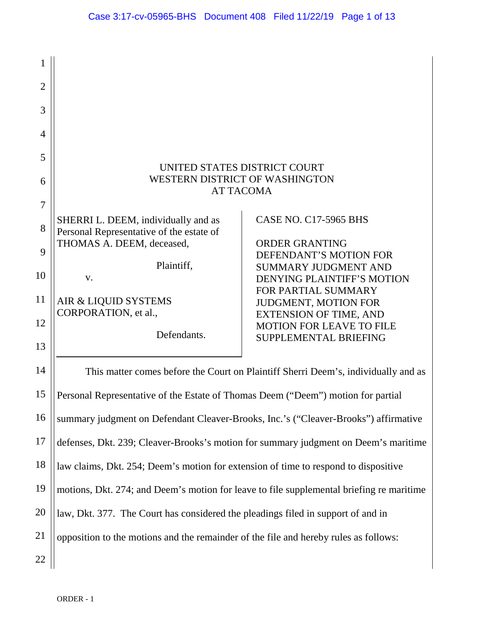| 1              |                                                                                          |                                                                  |  |
|----------------|------------------------------------------------------------------------------------------|------------------------------------------------------------------|--|
| $\overline{2}$ |                                                                                          |                                                                  |  |
| 3              |                                                                                          |                                                                  |  |
| $\overline{4}$ |                                                                                          |                                                                  |  |
| 5              |                                                                                          |                                                                  |  |
| 6              | UNITED STATES DISTRICT COURT<br><b>WESTERN DISTRICT OF WASHINGTON</b>                    |                                                                  |  |
| $\overline{7}$ | <b>AT TACOMA</b>                                                                         |                                                                  |  |
| 8              | SHERRI L. DEEM, individually and as<br>Personal Representative of the estate of          | <b>CASE NO. C17-5965 BHS</b>                                     |  |
| 9              | THOMAS A. DEEM, deceased,                                                                | <b>ORDER GRANTING</b><br>DEFENDANT'S MOTION FOR                  |  |
| 10             | Plaintiff,<br>V.                                                                         | <b>SUMMARY JUDGMENT AND</b><br><b>DENYING PLAINTIFF'S MOTION</b> |  |
| 11             | AIR & LIQUID SYSTEMS                                                                     | FOR PARTIAL SUMMARY<br>JUDGMENT, MOTION FOR                      |  |
| 12             | CORPORATION, et al.,                                                                     | <b>EXTENSION OF TIME, AND</b><br><b>MOTION FOR LEAVE TO FILE</b> |  |
| 13             | Defendants.                                                                              | SUPPLEMENTAL BRIEFING                                            |  |
| 14             | This matter comes before the Court on Plaintiff Sherri Deem's, individually and as       |                                                                  |  |
| 15             | Personal Representative of the Estate of Thomas Deem ("Deem") motion for partial         |                                                                  |  |
| 16             | summary judgment on Defendant Cleaver-Brooks, Inc.'s ("Cleaver-Brooks") affirmative      |                                                                  |  |
| 17             | defenses, Dkt. 239; Cleaver-Brooks's motion for summary judgment on Deem's maritime      |                                                                  |  |
| 18             | law claims, Dkt. 254; Deem's motion for extension of time to respond to dispositive      |                                                                  |  |
| 19             | motions, Dkt. 274; and Deem's motion for leave to file supplemental briefing re maritime |                                                                  |  |

20 law, Dkt. 377. The Court has considered the pleadings filed in support of and in

21 opposition to the motions and the remainder of the file and hereby rules as follows: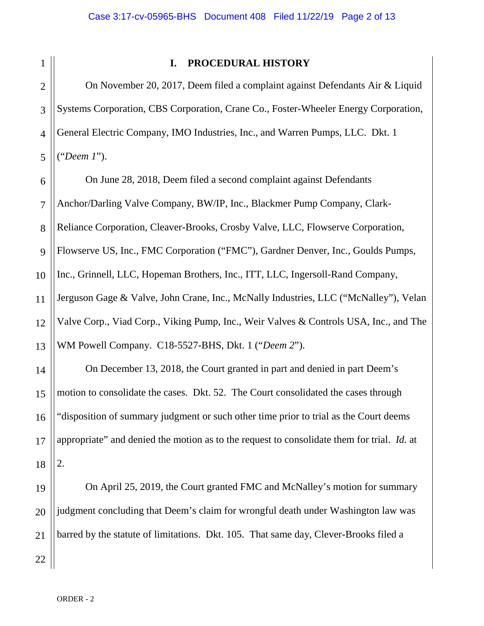# **I. PROCEDURAL HISTORY**

2 3 4 5 On November 20, 2017, Deem filed a complaint against Defendants Air & Liquid Systems Corporation, CBS Corporation, Crane Co., Foster-Wheeler Energy Corporation, General Electric Company, IMO Industries, Inc., and Warren Pumps, LLC. Dkt. 1 ("*Deem 1*").

6 7 8 9 10 11 12 13 On June 28, 2018, Deem filed a second complaint against Defendants Anchor/Darling Valve Company, BW/IP, Inc., Blackmer Pump Company, Clark-Reliance Corporation, Cleaver-Brooks, Crosby Valve, LLC, Flowserve Corporation, Flowserve US, Inc., FMC Corporation ("FMC"), Gardner Denver, Inc., Goulds Pumps, Inc., Grinnell, LLC, Hopeman Brothers, Inc., ITT, LLC, Ingersoll-Rand Company, Jerguson Gage & Valve, John Crane, Inc., McNally Industries, LLC ("McNalley"), Velan Valve Corp., Viad Corp., Viking Pump, Inc., Weir Valves & Controls USA, Inc., and The WM Powell Company. C18-5527-BHS, Dkt. 1 ("*Deem 2*").

14 15 16 17 18 On December 13, 2018, the Court granted in part and denied in part Deem's motion to consolidate the cases. Dkt. 52. The Court consolidated the cases through "disposition of summary judgment or such other time prior to trial as the Court deems appropriate" and denied the motion as to the request to consolidate them for trial. *Id.* at 2.

19 20 21 On April 25, 2019, the Court granted FMC and McNalley's motion for summary judgment concluding that Deem's claim for wrongful death under Washington law was barred by the statute of limitations. Dkt. 105. That same day, Clever-Brooks filed a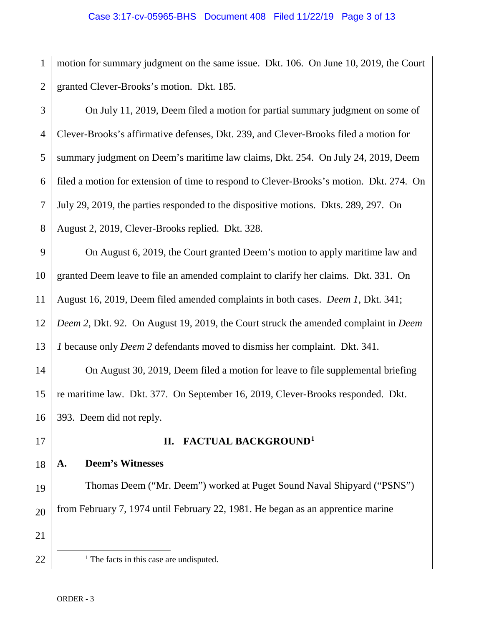## Case 3:17-cv-05965-BHS Document 408 Filed 11/22/19 Page 3 of 13

1 2 motion for summary judgment on the same issue. Dkt. 106. On June 10, 2019, the Court granted Clever-Brooks's motion. Dkt. 185.

| 3 <sup>1</sup> | On July 11, 2019, Deem filed a motion for partial summary judgment on some of                     |  |
|----------------|---------------------------------------------------------------------------------------------------|--|
|                | Clever-Brooks's affirmative defenses, Dkt. 239, and Clever-Brooks filed a motion for              |  |
|                | 5    summary judgment on Deem's maritime law claims, Dkt. 254. On July 24, 2019, Deem             |  |
|                | 6    filed a motion for extension of time to respond to Clever-Brooks's motion. Dkt. 274. On      |  |
|                | 7 $\parallel$ July 29, 2019, the parties responded to the dispositive motions. Dkts. 289, 297. On |  |
| 8 <sup>1</sup> | August 2, 2019, Clever-Brooks replied. Dkt. 328.                                                  |  |

9 10 11 12 13 On August 6, 2019, the Court granted Deem's motion to apply maritime law and granted Deem leave to file an amended complaint to clarify her claims. Dkt. 331. On August 16, 2019, Deem filed amended complaints in both cases. *Deem 1*, Dkt. 341; *Deem 2*, Dkt. 92. On August 19, 2019, the Court struck the amended complaint in *Deem 1* because only *Deem 2* defendants moved to dismiss her complaint. Dkt. 341.

14 On August 30, 2019, Deem filed a motion for leave to file supplemental briefing re maritime law. Dkt. 377. On September 16, 2019, Clever-Brooks responded. Dkt. 393. Deem did not reply.

# **A. Deem's Witnesses**

# **II. FACTUAL BACKGROUND[1](#page-2-0)**

Thomas Deem ("Mr. Deem") worked at Puget Sound Naval Shipyard ("PSNS") from February 7, 1974 until February 22, 1981. He began as an apprentice marine

<span id="page-2-0"></span>22

<sup>&</sup>lt;sup>1</sup> The facts in this case are undisputed.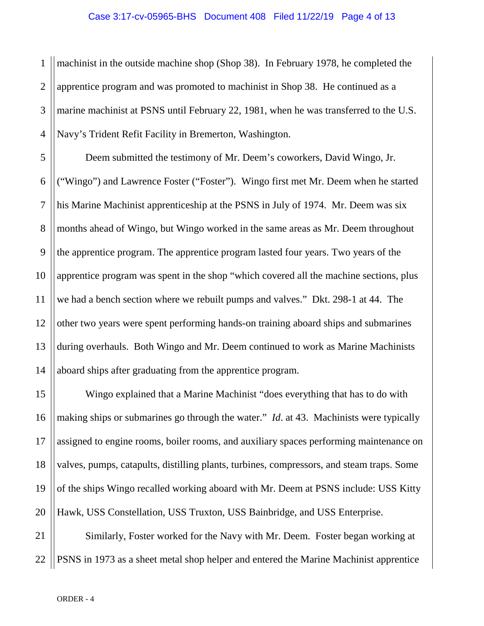### Case 3:17-cv-05965-BHS Document 408 Filed 11/22/19 Page 4 of 13

1 2 3 4 machinist in the outside machine shop (Shop 38). In February 1978, he completed the apprentice program and was promoted to machinist in Shop 38. He continued as a marine machinist at PSNS until February 22, 1981, when he was transferred to the U.S. Navy's Trident Refit Facility in Bremerton, Washington.

5 6 7 8 9 10 11 12 13 14 Deem submitted the testimony of Mr. Deem's coworkers, David Wingo, Jr. ("Wingo") and Lawrence Foster ("Foster"). Wingo first met Mr. Deem when he started his Marine Machinist apprenticeship at the PSNS in July of 1974. Mr. Deem was six months ahead of Wingo, but Wingo worked in the same areas as Mr. Deem throughout the apprentice program. The apprentice program lasted four years. Two years of the apprentice program was spent in the shop "which covered all the machine sections, plus we had a bench section where we rebuilt pumps and valves." Dkt. 298-1 at 44. The other two years were spent performing hands-on training aboard ships and submarines during overhauls. Both Wingo and Mr. Deem continued to work as Marine Machinists aboard ships after graduating from the apprentice program.

15 16 17 18 19 20 Wingo explained that a Marine Machinist "does everything that has to do with making ships or submarines go through the water." *Id*. at 43. Machinists were typically assigned to engine rooms, boiler rooms, and auxiliary spaces performing maintenance on valves, pumps, catapults, distilling plants, turbines, compressors, and steam traps. Some of the ships Wingo recalled working aboard with Mr. Deem at PSNS include: USS Kitty Hawk, USS Constellation, USS Truxton, USS Bainbridge, and USS Enterprise.

21 22 Similarly, Foster worked for the Navy with Mr. Deem. Foster began working at PSNS in 1973 as a sheet metal shop helper and entered the Marine Machinist apprentice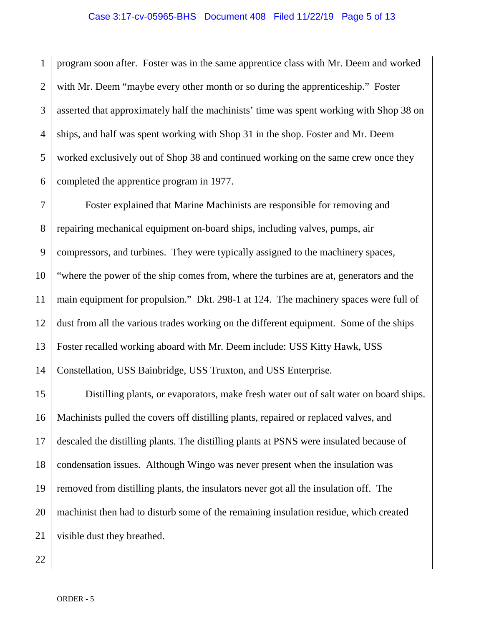## Case 3:17-cv-05965-BHS Document 408 Filed 11/22/19 Page 5 of 13

1 2 3 4 5 6 program soon after. Foster was in the same apprentice class with Mr. Deem and worked with Mr. Deem "maybe every other month or so during the apprenticeship." Foster asserted that approximately half the machinists' time was spent working with Shop 38 on ships, and half was spent working with Shop 31 in the shop. Foster and Mr. Deem worked exclusively out of Shop 38 and continued working on the same crew once they completed the apprentice program in 1977.

7 8 9 10 11 12 13 14 Foster explained that Marine Machinists are responsible for removing and repairing mechanical equipment on-board ships, including valves, pumps, air compressors, and turbines. They were typically assigned to the machinery spaces, "where the power of the ship comes from, where the turbines are at, generators and the main equipment for propulsion." Dkt. 298-1 at 124. The machinery spaces were full of dust from all the various trades working on the different equipment. Some of the ships Foster recalled working aboard with Mr. Deem include: USS Kitty Hawk, USS Constellation, USS Bainbridge, USS Truxton, and USS Enterprise.

15 16 17 18 19 20 21 Distilling plants, or evaporators, make fresh water out of salt water on board ships. Machinists pulled the covers off distilling plants, repaired or replaced valves, and descaled the distilling plants. The distilling plants at PSNS were insulated because of condensation issues. Although Wingo was never present when the insulation was removed from distilling plants, the insulators never got all the insulation off. The machinist then had to disturb some of the remaining insulation residue, which created visible dust they breathed.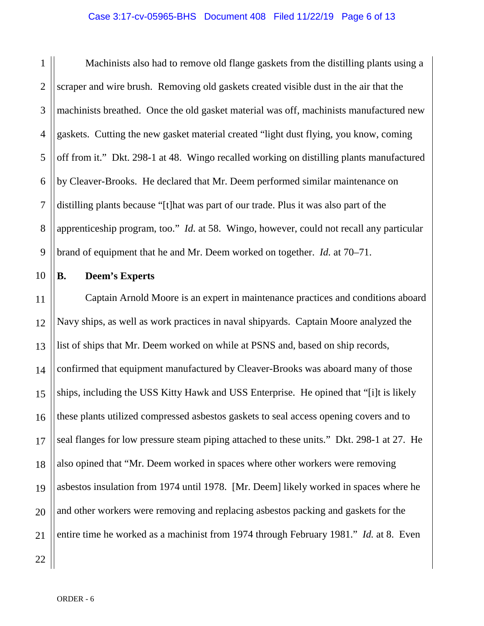### Case 3:17-cv-05965-BHS Document 408 Filed 11/22/19 Page 6 of 13

1 2 3 4 5 6 7 8 9 Machinists also had to remove old flange gaskets from the distilling plants using a scraper and wire brush. Removing old gaskets created visible dust in the air that the machinists breathed. Once the old gasket material was off, machinists manufactured new gaskets. Cutting the new gasket material created "light dust flying, you know, coming off from it." Dkt. 298-1 at 48. Wingo recalled working on distilling plants manufactured by Cleaver-Brooks. He declared that Mr. Deem performed similar maintenance on distilling plants because "[t]hat was part of our trade. Plus it was also part of the apprenticeship program, too." *Id.* at 58. Wingo, however, could not recall any particular brand of equipment that he and Mr. Deem worked on together. *Id.* at 70–71.

10

## **B. Deem's Experts**

11 12 13 14 15 16 17 18 19 20 21 Captain Arnold Moore is an expert in maintenance practices and conditions aboard Navy ships, as well as work practices in naval shipyards. Captain Moore analyzed the list of ships that Mr. Deem worked on while at PSNS and, based on ship records, confirmed that equipment manufactured by Cleaver-Brooks was aboard many of those ships, including the USS Kitty Hawk and USS Enterprise. He opined that "[i]t is likely these plants utilized compressed asbestos gaskets to seal access opening covers and to seal flanges for low pressure steam piping attached to these units." Dkt. 298-1 at 27. He also opined that "Mr. Deem worked in spaces where other workers were removing asbestos insulation from 1974 until 1978. [Mr. Deem] likely worked in spaces where he and other workers were removing and replacing asbestos packing and gaskets for the entire time he worked as a machinist from 1974 through February 1981." *Id.* at 8. Even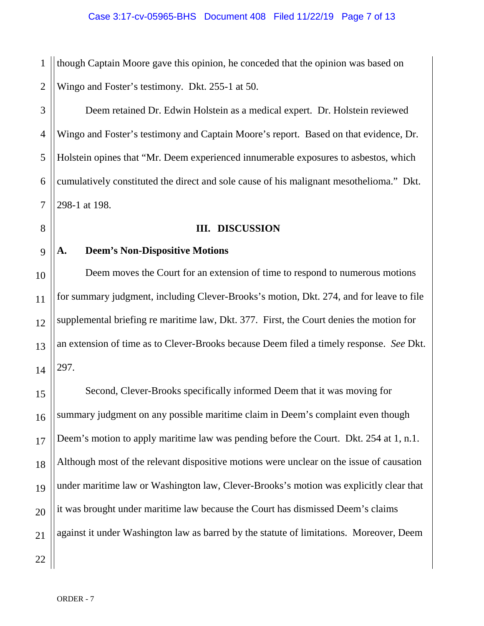1 2 though Captain Moore gave this opinion, he conceded that the opinion was based on Wingo and Foster's testimony. Dkt. 255-1 at 50.

3 4 5 6 7 Deem retained Dr. Edwin Holstein as a medical expert. Dr. Holstein reviewed Wingo and Foster's testimony and Captain Moore's report. Based on that evidence, Dr. Holstein opines that "Mr. Deem experienced innumerable exposures to asbestos, which cumulatively constituted the direct and sole cause of his malignant mesothelioma." Dkt. 298-1 at 198.

## **III. DISCUSSION**

# 9

10

11

12

13

14

8

# **A. Deem's Non-Dispositive Motions**

Deem moves the Court for an extension of time to respond to numerous motions for summary judgment, including Clever-Brooks's motion, Dkt. 274, and for leave to file supplemental briefing re maritime law, Dkt. 377. First, the Court denies the motion for an extension of time as to Clever-Brooks because Deem filed a timely response. *See* Dkt. 297.

15 16 17 18 19 20 21 Second, Clever-Brooks specifically informed Deem that it was moving for summary judgment on any possible maritime claim in Deem's complaint even though Deem's motion to apply maritime law was pending before the Court. Dkt. 254 at 1, n.1. Although most of the relevant dispositive motions were unclear on the issue of causation under maritime law or Washington law, Clever-Brooks's motion was explicitly clear that it was brought under maritime law because the Court has dismissed Deem's claims against it under Washington law as barred by the statute of limitations. Moreover, Deem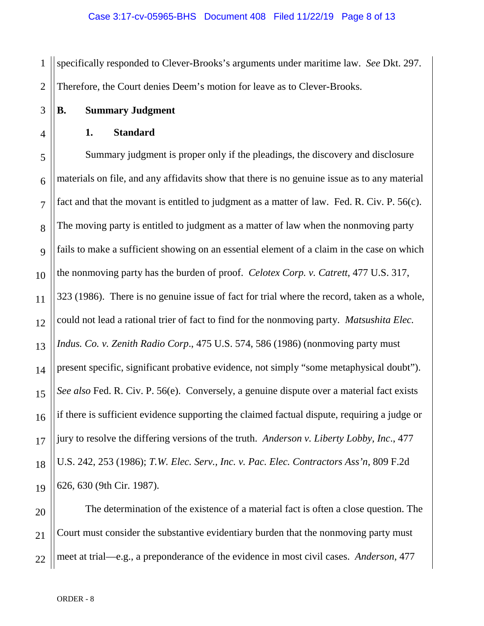1 2 specifically responded to Clever-Brooks's arguments under maritime law. *See* Dkt. 297. Therefore, the Court denies Deem's motion for leave as to Clever-Brooks.

**B. Summary Judgment** 

3

4

**1. Standard**

5 6 7 8 9 10 11 12 13 14 15 16 17 18 19 Summary judgment is proper only if the pleadings, the discovery and disclosure materials on file, and any affidavits show that there is no genuine issue as to any material fact and that the movant is entitled to judgment as a matter of law. Fed. R. Civ. P. 56(c). The moving party is entitled to judgment as a matter of law when the nonmoving party fails to make a sufficient showing on an essential element of a claim in the case on which the nonmoving party has the burden of proof. *Celotex Corp. v. Catrett*, 477 U.S. 317, 323 (1986). There is no genuine issue of fact for trial where the record, taken as a whole, could not lead a rational trier of fact to find for the nonmoving party. *Matsushita Elec. Indus. Co. v. Zenith Radio Corp*., 475 U.S. 574, 586 (1986) (nonmoving party must present specific, significant probative evidence, not simply "some metaphysical doubt"). *See also* Fed. R. Civ. P. 56(e). Conversely, a genuine dispute over a material fact exists if there is sufficient evidence supporting the claimed factual dispute, requiring a judge or jury to resolve the differing versions of the truth. *Anderson v. Liberty Lobby, Inc*., 477 U.S. 242, 253 (1986); *T.W. Elec. Serv., Inc. v. Pac. Elec. Contractors Ass'n*, 809 F.2d 626, 630 (9th Cir. 1987).

20 21 22 The determination of the existence of a material fact is often a close question. The Court must consider the substantive evidentiary burden that the nonmoving party must meet at trial—e.g., a preponderance of the evidence in most civil cases. *Anderson*, 477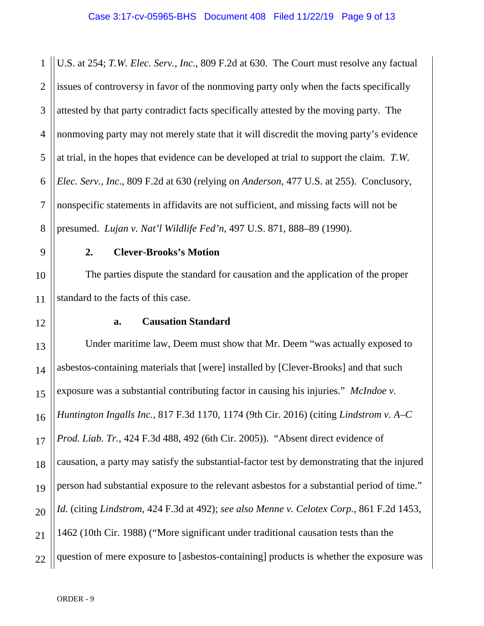1 2 3 4 5 6 7 8 U.S. at 254; *T.W. Elec. Serv., Inc*., 809 F.2d at 630. The Court must resolve any factual issues of controversy in favor of the nonmoving party only when the facts specifically attested by that party contradict facts specifically attested by the moving party. The nonmoving party may not merely state that it will discredit the moving party's evidence at trial, in the hopes that evidence can be developed at trial to support the claim. *T.W. Elec. Serv., Inc*., 809 F.2d at 630 (relying on *Anderson*, 477 U.S. at 255). Conclusory, nonspecific statements in affidavits are not sufficient, and missing facts will not be presumed. *Lujan v. Nat'l Wildlife Fed'n*, 497 U.S. 871, 888–89 (1990).

9

10

11

12

## **2. Clever-Brooks's Motion**

The parties dispute the standard for causation and the application of the proper standard to the facts of this case.

## **a. Causation Standard**

13 14 15 16 17 18 19 20 21 22 Under maritime law, Deem must show that Mr. Deem "was actually exposed to asbestos-containing materials that [were] installed by [Clever-Brooks] and that such exposure was a substantial contributing factor in causing his injuries." *McIndoe v. Huntington Ingalls Inc.*, 817 F.3d 1170, 1174 (9th Cir. 2016) (citing *Lindstrom v. A–C Prod. Liab. Tr.*, 424 F.3d 488, 492 (6th Cir. 2005)). "Absent direct evidence of causation, a party may satisfy the substantial-factor test by demonstrating that the injured person had substantial exposure to the relevant asbestos for a substantial period of time." *Id.* (citing *Lindstrom*, 424 F.3d at 492); *see also Menne v. Celotex Corp.*, 861 F.2d 1453, 1462 (10th Cir. 1988) ("More significant under traditional causation tests than the question of mere exposure to [asbestos-containing] products is whether the exposure was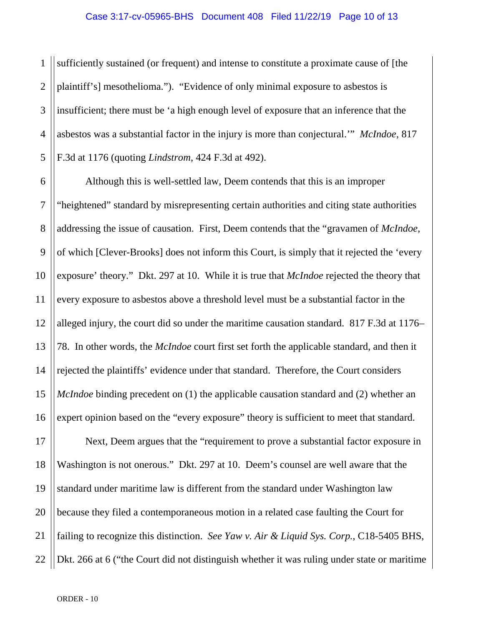1 2 3 4 5 sufficiently sustained (or frequent) and intense to constitute a proximate cause of [the plaintiff's] mesothelioma."). "Evidence of only minimal exposure to asbestos is insufficient; there must be 'a high enough level of exposure that an inference that the asbestos was a substantial factor in the injury is more than conjectural.'" *McIndoe*, 817 F.3d at 1176 (quoting *Lindstrom*, 424 F.3d at 492).

6 7 8 9 10 11 12 13 14 15 16 Although this is well-settled law, Deem contends that this is an improper "heightened" standard by misrepresenting certain authorities and citing state authorities addressing the issue of causation. First, Deem contends that the "gravamen of *McIndoe*, of which [Clever-Brooks] does not inform this Court, is simply that it rejected the 'every exposure' theory." Dkt. 297 at 10. While it is true that *McIndoe* rejected the theory that every exposure to asbestos above a threshold level must be a substantial factor in the alleged injury, the court did so under the maritime causation standard. 817 F.3d at 1176– 78. In other words, the *McIndoe* court first set forth the applicable standard, and then it rejected the plaintiffs' evidence under that standard. Therefore, the Court considers *McIndoe* binding precedent on (1) the applicable causation standard and (2) whether an expert opinion based on the "every exposure" theory is sufficient to meet that standard.

17 18 19 20 21 22 Next, Deem argues that the "requirement to prove a substantial factor exposure in Washington is not onerous." Dkt. 297 at 10. Deem's counsel are well aware that the standard under maritime law is different from the standard under Washington law because they filed a contemporaneous motion in a related case faulting the Court for failing to recognize this distinction. *See Yaw v. Air & Liquid Sys. Corp.*, C18-5405 BHS, Dkt. 266 at 6 ("the Court did not distinguish whether it was ruling under state or maritime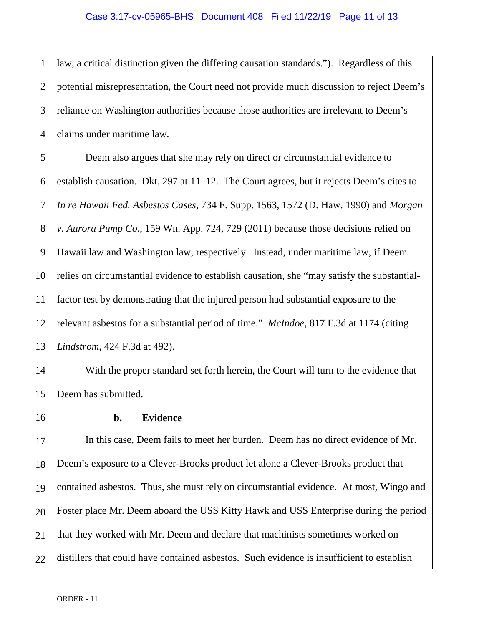1 2 3 4 law, a critical distinction given the differing causation standards."). Regardless of this potential misrepresentation, the Court need not provide much discussion to reject Deem's reliance on Washington authorities because those authorities are irrelevant to Deem's claims under maritime law.

5 6 7 8 9 10 11 12 13 Deem also argues that she may rely on direct or circumstantial evidence to establish causation. Dkt. 297 at 11–12. The Court agrees, but it rejects Deem's cites to *In re Hawaii Fed. Asbestos Cases*, 734 F. Supp. 1563, 1572 (D. Haw. 1990) and *Morgan v. Aurora Pump Co.*, 159 Wn. App. 724, 729 (2011) because those decisions relied on Hawaii law and Washington law, respectively. Instead, under maritime law, if Deem relies on circumstantial evidence to establish causation, she "may satisfy the substantialfactor test by demonstrating that the injured person had substantial exposure to the relevant asbestos for a substantial period of time." *McIndoe*, 817 F.3d at 1174 (citing *Lindstrom*, 424 F.3d at 492).

With the proper standard set forth herein, the Court will turn to the evidence that Deem has submitted.

14

15

16

# **b. Evidence**

17 18 19 20 21 22 In this case, Deem fails to meet her burden. Deem has no direct evidence of Mr. Deem's exposure to a Clever-Brooks product let alone a Clever-Brooks product that contained asbestos. Thus, she must rely on circumstantial evidence. At most, Wingo and Foster place Mr. Deem aboard the USS Kitty Hawk and USS Enterprise during the period that they worked with Mr. Deem and declare that machinists sometimes worked on distillers that could have contained asbestos. Such evidence is insufficient to establish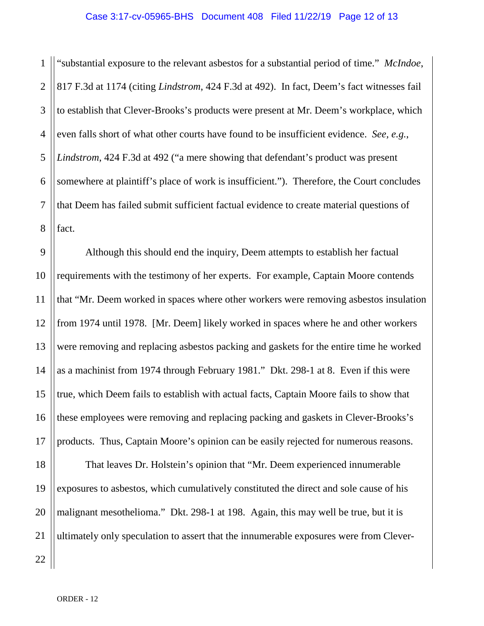1 2 3 4 5 6 7 8 "substantial exposure to the relevant asbestos for a substantial period of time." *McIndoe*, 817 F.3d at 1174 (citing *Lindstrom*, 424 F.3d at 492). In fact, Deem's fact witnesses fail to establish that Clever-Brooks's products were present at Mr. Deem's workplace, which even falls short of what other courts have found to be insufficient evidence. *See, e.g.*, *Lindstrom*, 424 F.3d at 492 ("a mere showing that defendant's product was present somewhere at plaintiff's place of work is insufficient."). Therefore, the Court concludes that Deem has failed submit sufficient factual evidence to create material questions of fact.

9 10 11 12 13 14 15 16 17 18 19 20 21 Although this should end the inquiry, Deem attempts to establish her factual requirements with the testimony of her experts. For example, Captain Moore contends that "Mr. Deem worked in spaces where other workers were removing asbestos insulation from 1974 until 1978. [Mr. Deem] likely worked in spaces where he and other workers were removing and replacing asbestos packing and gaskets for the entire time he worked as a machinist from 1974 through February 1981." Dkt. 298-1 at 8. Even if this were true, which Deem fails to establish with actual facts, Captain Moore fails to show that these employees were removing and replacing packing and gaskets in Clever-Brooks's products. Thus, Captain Moore's opinion can be easily rejected for numerous reasons. That leaves Dr. Holstein's opinion that "Mr. Deem experienced innumerable exposures to asbestos, which cumulatively constituted the direct and sole cause of his malignant mesothelioma." Dkt. 298-1 at 198. Again, this may well be true, but it is ultimately only speculation to assert that the innumerable exposures were from Clever-